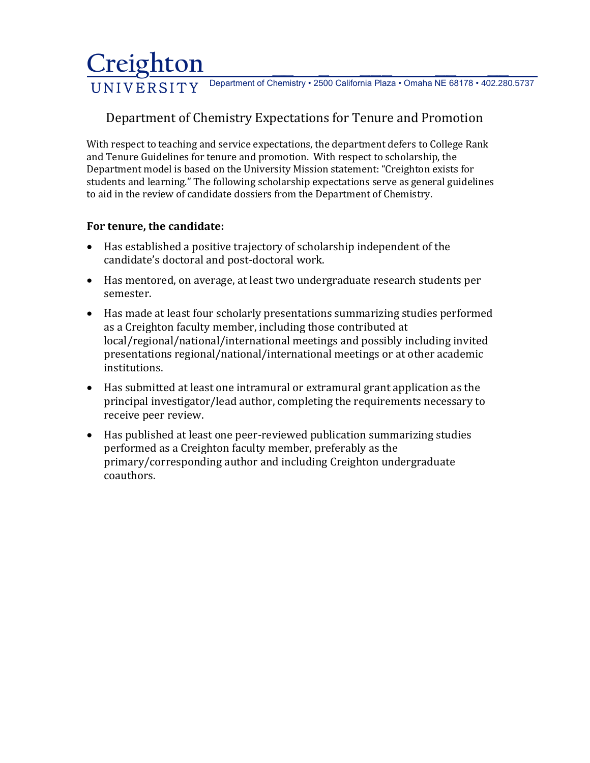## **Creighton \_\_ \_ \_\_\_ \_\_ \_\_**  UNIVERSITY Department of Chemistry • 2500 California Plaza • Omaha NE 68178 • 402.280.5737

# Department of Chemistry Expectations for Tenure and Promotion

With respect to teaching and service expectations, the department defers to College Rank and Tenure Guidelines for tenure and promotion. With respect to scholarship, the Department model is based on the University Mission statement: "Creighton exists for students and learning." The following scholarship expectations serve as general guidelines to aid in the review of candidate dossiers from the Department of Chemistry.

#### **For tenure, the candidate:**

- Has established a positive trajectory of scholarship independent of the candidate's doctoral and post-doctoral work.
- Has mentored, on average, at least two undergraduate research students per semester.
- Has made at least four scholarly presentations summarizing studies performed as a Creighton faculty member, including those contributed at local/regional/national/international meetings and possibly including invited presentations regional/national/international meetings or at other academic institutions.
- Has submitted at least one intramural or extramural grant application as the principal investigator/lead author, completing the requirements necessary to receive peer review.
- Has published at least one peer-reviewed publication summarizing studies performed as a Creighton faculty member, preferably as the primary/corresponding author and including Creighton undergraduate coauthors.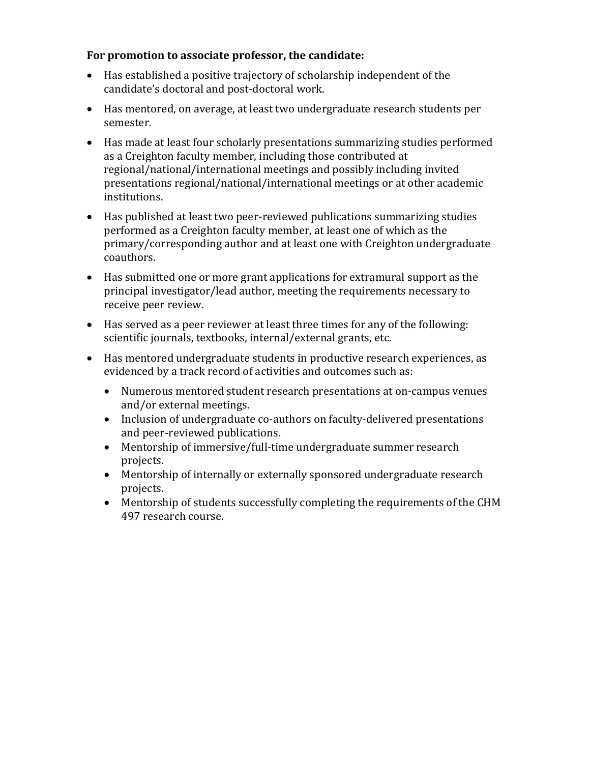## **For promotion to associate professor, the candidate:**

- Has established a positive trajectory of scholarship independent of the candidate's doctoral and post-doctoral work.
- Has mentored, on average, at least two undergraduate research students per semester.
- Has made at least four scholarly presentations summarizing studies performed as a Creighton faculty member, including those contributed at regional/national/international meetings and possibly including invited presentations regional/national/international meetings or at other academic institutions.
- Has published at least two peer-reviewed publications summarizing studies performed as a Creighton faculty member, at least one of which as the primary/corresponding author and at least one with Creighton undergraduate coauthors.
- Has submitted one or more grant applications for extramural support as the principal investigator/lead author, meeting the requirements necessary to receive peer review.
- Has served as a peer reviewer at least three times for any of the following: scientific journals, textbooks, internal/external grants, etc.
- Has mentored undergraduate students in productive research experiences, as evidenced by a track record of activities and outcomes such as:
	- Numerous mentored student research presentations at on-campus venues and/or external meetings.
	- Inclusion of undergraduate co-authors on faculty-delivered presentations and peer-reviewed publications.
	- Mentorship of immersive/full-time undergraduate summer research projects.
	- Mentorship of internally or externally sponsored undergraduate research projects.
	- Mentorship of students successfully completing the requirements of the CHM 497 research course.